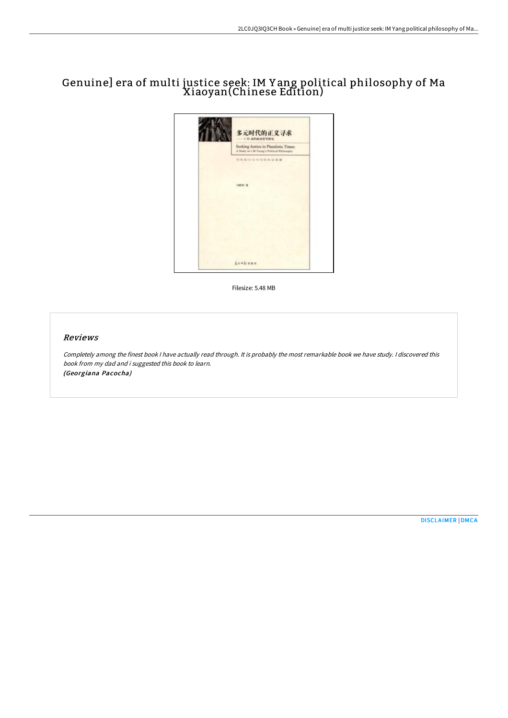# Genuine] era of multi justice seek: IM Y ang political philosophy of Ma Xiaoyan(Chinese Edition)



Filesize: 5.48 MB

## Reviews

Completely among the finest book <sup>I</sup> have actually read through. It is probably the most remarkable book we have study. <sup>I</sup> discovered this book from my dad and i suggested this book to learn. (Georgiana Pacocha)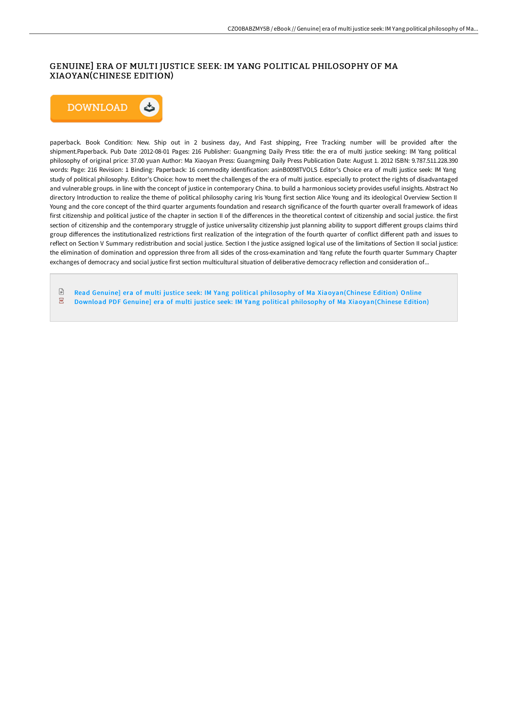# GENUINE] ERA OF MULTI JUSTICE SEEK: IM YANG POLITICAL PHILOSOPHY OF MA XIAOYAN(CHINESE EDITION)



paperback. Book Condition: New. Ship out in 2 business day, And Fast shipping, Free Tracking number will be provided after the shipment.Paperback. Pub Date :2012-08-01 Pages: 216 Publisher: Guangming Daily Press title: the era of multi justice seeking: IM Yang political philosophy of original price: 37.00 yuan Author: Ma Xiaoyan Press: Guangming Daily Press Publication Date: August 1. 2012 ISBN: 9.787.511.228.390 words: Page: 216 Revision: 1 Binding: Paperback: 16 commodity identification: asinB0098TVOLS Editor's Choice era of multi justice seek: IM Yang study of political philosophy. Editor's Choice: how to meet the challenges of the era of multi justice. especially to protect the rights of disadvantaged and vulnerable groups. in line with the concept of justice in contemporary China. to build a harmonious society provides useful insights. Abstract No directory Introduction to realize the theme of political philosophy caring Iris Young first section Alice Young and its ideological Overview Section II Young and the core concept of the third quarter arguments foundation and research significance of the fourth quarter overall framework of ideas first citizenship and political justice of the chapter in section II of the differences in the theoretical context of citizenship and social justice. the first section of citizenship and the contemporary struggle of justice universality citizenship just planning ability to support different groups claims third group diHerences the institutionalized restrictions first realization of the integration of the fourth quarter of conflict diHerent path and issues to reflect on Section V Summary redistribution and social justice. Section I the justice assigned logical use of the limitations of Section II social justice: the elimination of domination and oppression three from all sides of the cross-examination and Yang refute the fourth quarter Summary Chapter exchanges of democracy and social justice first section multicultural situation of deliberative democracy reflection and consideration of...

 $\ensuremath{\boxdot}$ Read Genuine] era of multi justice seek: IM Yang political philosophy of Ma [Xiaoyan\(Chinese](http://digilib.live/genuine-era-of-multi-justice-seek-im-yang-politi.html) Edition) Online  $\overline{\rm \bf PDF}$ Download PDF Genuine] era of multi justice seek: IM Yang political philosophy of Ma [Xiaoyan\(Chinese](http://digilib.live/genuine-era-of-multi-justice-seek-im-yang-politi.html) Edition)